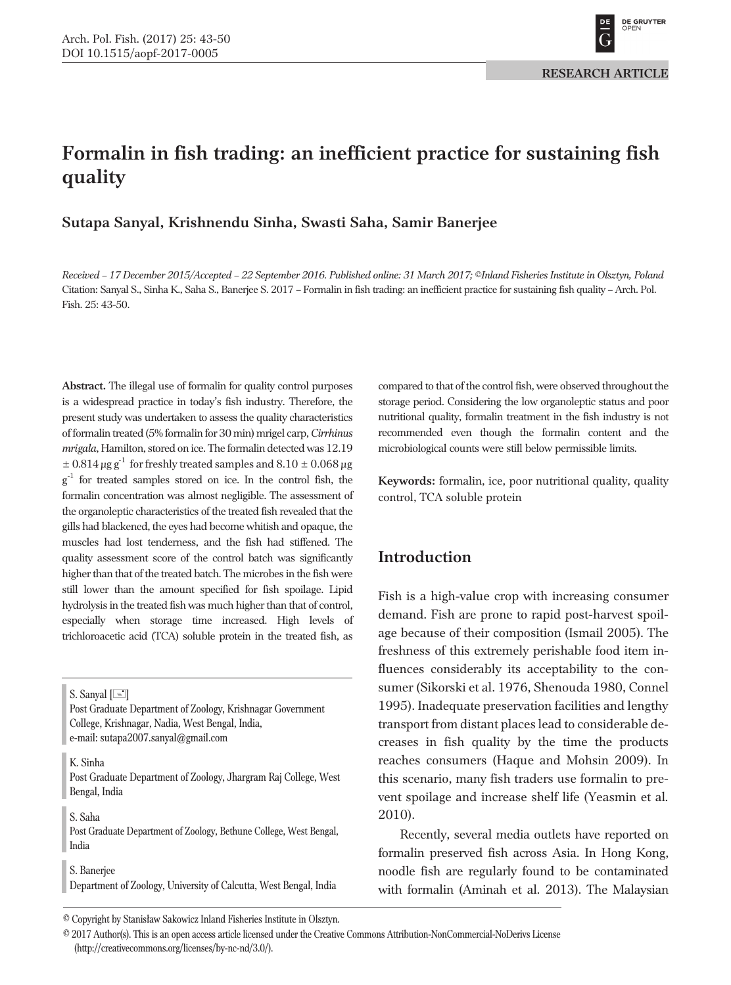# **Formalin in fish trading: an inefficient practice for sustaining fish quality**

**Sutapa Sanyal, Krishnendu Sinha, Swasti Saha, Samir Banerjee**

*Received – 17 December 2015/Accepted – 22 September 2016. Published online: 31 March 2017; ©Inland Fisheries Institute in Olsztyn, Poland* Citation: Sanyal S., Sinha K., Saha S., Banerjee S. 2017 – Formalin in fish trading: an inefficient practice for sustaining fish quality – Arch. Pol. Fish. 25: 43-50.

**Abstract.** The illegal use of formalin for quality control purposes is a widespread practice in today's fish industry. Therefore, the present study was undertaken to assess the quality characteristics of formalin treated (5% formalin for 30 min) mrigel carp,*Cirrhinus mrigala*, Hamilton, stored on ice. The formalin detected was 12.19  $\pm$  0.814  $\mu$ g g<sup>-1</sup> for freshly treated samples and 8.10  $\pm$  0.068  $\mu$ g  $g^{-1}$  for treated samples stored on ice. In the control fish, the formalin concentration was almost negligible. The assessment of the organoleptic characteristics of the treated fish revealed that the gills had blackened, the eyes had become whitish and opaque, the muscles had lost tenderness, and the fish had stiffened. The quality assessment score of the control batch was significantly higher than that of the treated batch. The microbes in the fish were still lower than the amount specified for fish spoilage. Lipid hydrolysis in the treated fish was much higher than that of control, especially when storage time increased. High levels of trichloroacetic acid (TCA) soluble protein in the treated fish, as

S. Sanyal  $[\equiv]$ 

Post Graduate Department of Zoology, Krishnagar Government College, Krishnagar, Nadia, West Bengal, India, e-mail: sutapa2007.sanyal@gmail.com

K. Sinha

Post Graduate Department of Zoology, Jhargram Raj College, West Bengal, India

S. Saha

Post Graduate Department of Zoology, Bethune College, West Bengal, India

S. Banerjee Department of Zoology, University of Calcutta, West Bengal, India compared to that of the control fish, were observed throughout the storage period. Considering the low organoleptic status and poor nutritional quality, formalin treatment in the fish industry is not recommended even though the formalin content and the microbiological counts were still below permissible limits.

**Keywords:** formalin, ice, poor nutritional quality, quality control, TCA soluble protein

# **Introduction**

Fish is a high-value crop with increasing consumer demand. Fish are prone to rapid post-harvest spoilage because of their composition (Ismail 2005). The freshness of this extremely perishable food item influences considerably its acceptability to the consumer (Sikorski et al. 1976, Shenouda 1980, Connel 1995). Inadequate preservation facilities and lengthy transport from distant places lead to considerable decreases in fish quality by the time the products reaches consumers (Haque and Mohsin 2009). In this scenario, many fish traders use formalin to prevent spoilage and increase shelf life (Yeasmin et al*.* 2010).

Recently, several media outlets have reported on formalin preserved fish across Asia. In Hong Kong, noodle fish are regularly found to be contaminated with formalin (Aminah et al. 2013). The Malaysian

<sup>©</sup> Copyright by Stanisław Sakowicz Inland Fisheries Institute in Olsztyn.

<sup>©</sup> 2017 Author(s). This is an open access article licensed under the Creative Commons Attribution-NonCommercial-NoDerivs License (http://creativecommons.org/licenses/by-nc-nd/3.0/).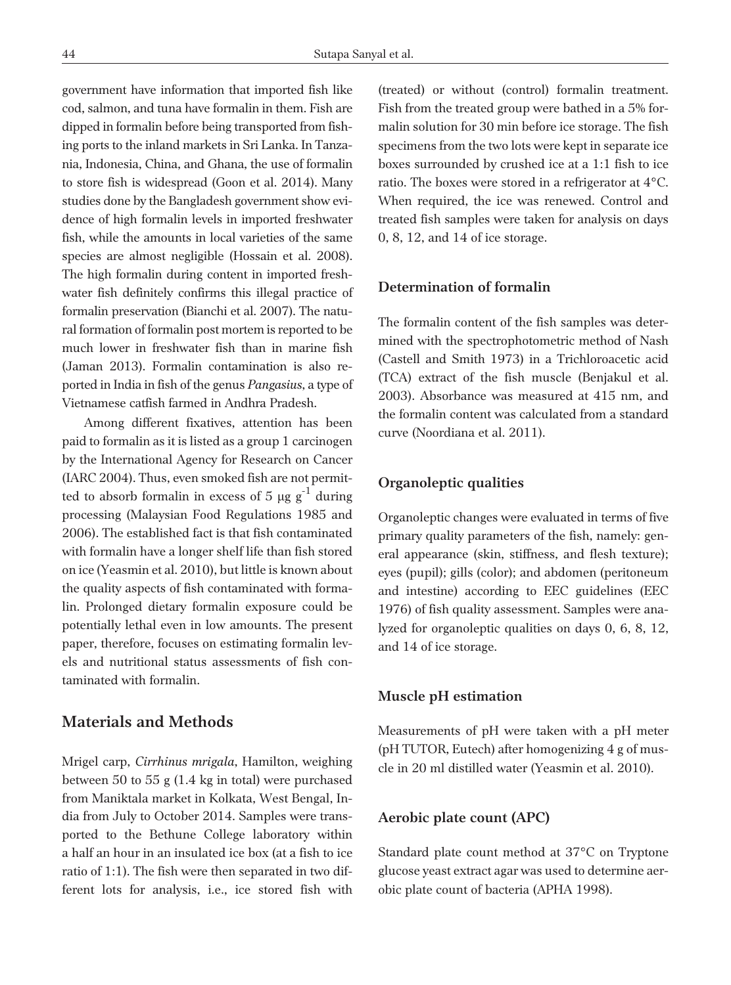government have information that imported fish like cod, salmon, and tuna have formalin in them. Fish are dipped in formalin before being transported from fishing ports to the inland markets in Sri Lanka. In Tanzania, Indonesia, China, and Ghana, the use of formalin to store fish is widespread (Goon et al. 2014). Many studies done by the Bangladesh government show evidence of high formalin levels in imported freshwater fish, while the amounts in local varieties of the same species are almost negligible (Hossain et al. 2008). The high formalin during content in imported freshwater fish definitely confirms this illegal practice of formalin preservation (Bianchi et al. 2007). The natural formation of formalin post mortem is reported to be much lower in freshwater fish than in marine fish (Jaman 2013). Formalin contamination is also reported in India in fish of the genus *Pangasius*, a type of Vietnamese catfish farmed in Andhra Pradesh.

Among different fixatives, attention has been paid to formalin as it is listed as a group 1 carcinogen by the International Agency for Research on Cancer (IARC 2004). Thus, even smoked fish are not permitted to absorb formalin in excess of 5  $\mu\text{g g}^{-1}$  during processing (Malaysian Food Regulations 1985 and 2006). The established fact is that fish contaminated with formalin have a longer shelf life than fish stored on ice (Yeasmin et al. 2010), but little is known about the quality aspects of fish contaminated with formalin. Prolonged dietary formalin exposure could be potentially lethal even in low amounts. The present paper, therefore, focuses on estimating formalin levels and nutritional status assessments of fish contaminated with formalin.

### **Materials and Methods**

Mrigel carp, *Cirrhinus mrigala*, Hamilton, weighing between 50 to 55 g (1.4 kg in total) were purchased from Maniktala market in Kolkata, West Bengal, India from July to October 2014. Samples were transported to the Bethune College laboratory within a half an hour in an insulated ice box (at a fish to ice ratio of 1:1). The fish were then separated in two different lots for analysis, i.e., ice stored fish with

(treated) or without (control) formalin treatment. Fish from the treated group were bathed in a 5% formalin solution for 30 min before ice storage. The fish specimens from the two lots were kept in separate ice boxes surrounded by crushed ice at a 1:1 fish to ice ratio. The boxes were stored in a refrigerator at 4°C. When required, the ice was renewed. Control and treated fish samples were taken for analysis on days 0, 8, 12, and 14 of ice storage.

### **Determination of formalin**

The formalin content of the fish samples was determined with the spectrophotometric method of Nash (Castell and Smith 1973) in a Trichloroacetic acid (TCA) extract of the fish muscle (Benjakul et al. 2003). Absorbance was measured at 415 nm, and the formalin content was calculated from a standard curve (Noordiana et al. 2011).

#### **Organoleptic qualities**

Organoleptic changes were evaluated in terms of five primary quality parameters of the fish, namely: general appearance (skin, stiffness, and flesh texture); eyes (pupil); gills (color); and abdomen (peritoneum and intestine) according to EEC guidelines (EEC 1976) of fish quality assessment. Samples were analyzed for organoleptic qualities on days 0, 6, 8, 12, and 14 of ice storage.

#### **Muscle pH estimation**

Measurements of pH were taken with a pH meter (pH TUTOR, Eutech) after homogenizing 4 g of muscle in 20 ml distilled water (Yeasmin et al. 2010).

#### **Aerobic plate count (APC)**

Standard plate count method at 37°C on Tryptone glucose yeast extract agar was used to determine aerobic plate count of bacteria (APHA 1998).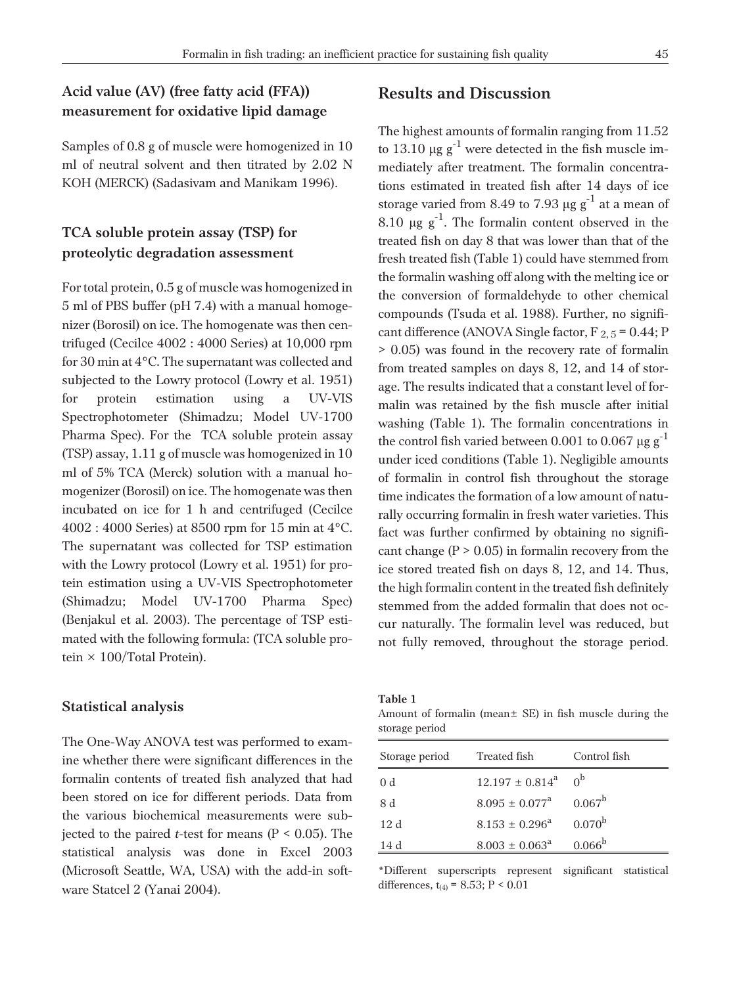# **Acid value (AV) (free fatty acid (FFA)) measurement for oxidative lipid damage**

Samples of 0.8 g of muscle were homogenized in 10 ml of neutral solvent and then titrated by 2.02 N KOH (MERCK) (Sadasivam and Manikam 1996).

# **TCA soluble protein assay (TSP) for proteolytic degradation assessment**

For total protein, 0.5 g of muscle was homogenized in 5 ml of PBS buffer (pH 7.4) with a manual homogenizer (Borosil) on ice. The homogenate was then centrifuged (Cecilce 4002 : 4000 Series) at 10,000 rpm for 30 min at 4°C. The supernatant was collected and subjected to the Lowry protocol (Lowry et al. 1951) for protein estimation using a UV-VIS Spectrophotometer (Shimadzu; Model UV-1700 Pharma Spec). For the TCA soluble protein assay (TSP) assay, 1.11 g of muscle was homogenized in 10 ml of 5% TCA (Merck) solution with a manual homogenizer (Borosil) on ice. The homogenate was then incubated on ice for 1 h and centrifuged (Cecilce 4002 : 4000 Series) at 8500 rpm for 15 min at 4°C. The supernatant was collected for TSP estimation with the Lowry protocol (Lowry et al. 1951) for protein estimation using a UV-VIS Spectrophotometer (Shimadzu; Model UV-1700 Pharma Spec) (Benjakul et al. 2003). The percentage of TSP estimated with the following formula: (TCA soluble protein  $\times$  100/Total Protein).

#### **Statistical analysis**

The One-Way ANOVA test was performed to examine whether there were significant differences in the formalin contents of treated fish analyzed that had been stored on ice for different periods. Data from the various biochemical measurements were subjected to the paired *t*-test for means ( $P < 0.05$ ). The statistical analysis was done in Excel 2003 (Microsoft Seattle, WA, USA) with the add-in software Statcel 2 (Yanai 2004).

### **Results and Discussion**

The highest amounts of formalin ranging from 11.52 to 13.10  $\mu$ g g $^{-1}$  were detected in the fish muscle immediately after treatment. The formalin concentrations estimated in treated fish after 14 days of ice storage varied from 8.49 to 7.93  $\mu$ g g $^{-1}$  at a mean of 8.10  $\mu$ g g<sup>-1</sup>. The formalin content observed in the treated fish on day 8 that was lower than that of the fresh treated fish (Table 1) could have stemmed from the formalin washing off along with the melting ice or the conversion of formaldehyde to other chemical compounds (Tsuda et al. 1988). Further, no significant difference (ANOVA Single factor,  $F_{2,5} = 0.44; P$ > 0.05) was found in the recovery rate of formalin from treated samples on days 8, 12, and 14 of storage. The results indicated that a constant level of formalin was retained by the fish muscle after initial washing (Table 1). The formalin concentrations in the control fish varied between 0.001 to 0.067  $\mu$ g g $^{-1}$ under iced conditions (Table 1). Negligible amounts of formalin in control fish throughout the storage time indicates the formation of a low amount of naturally occurring formalin in fresh water varieties. This fact was further confirmed by obtaining no significant change ( $P > 0.05$ ) in formalin recovery from the ice stored treated fish on days 8, 12, and 14. Thus, the high formalin content in the treated fish definitely stemmed from the added formalin that does not occur naturally. The formalin level was reduced, but not fully removed, throughout the storage period.

| Table 1 |                         |  |
|---------|-------------------------|--|
|         | Amount of formalin (moo |  |

Amount of formalin (mean± SE) in fish muscle during the storage period

| Storage period | Treated fish                 | Control fish       |
|----------------|------------------------------|--------------------|
| 0 <sub>d</sub> | $12.197 \pm 0.814^a$         | 0 <sub>p</sub>     |
| 8 d            | $8.095 + 0.077^{\text{a}}$   | $0.067^{\rm b}$    |
| 12d            | $8.153 + 0.296^{\text{a}}$   | $0.070^{b}$        |
| 14 d           | $8.003 \pm 0.063^{\text{a}}$ | 0.066 <sup>b</sup> |

\*Different superscripts represent significant statistical differences,  $t_{(4)} = 8.53$ ; P < 0.01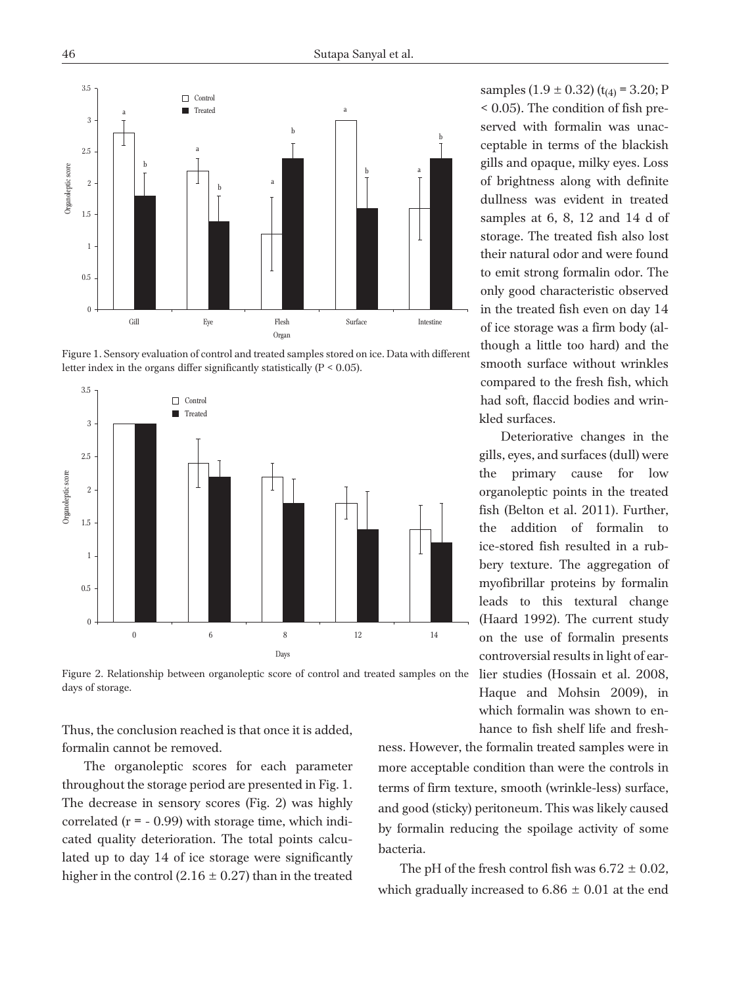

Figure 1. Sensory evaluation of control and treated samples stored on ice. Data with different letter index in the organs differ significantly statistically  $(P < 0.05)$ .



Figure 2. Relationship between organoleptic score of control and treated samples on the days of storage.

Thus, the conclusion reached is that once it is added, formalin cannot be removed.

The organoleptic scores for each parameter throughout the storage period are presented in Fig. 1. The decrease in sensory scores (Fig. 2) was highly correlated  $(r = -0.99)$  with storage time, which indicated quality deterioration. The total points calculated up to day 14 of ice storage were significantly higher in the control  $(2.16 \pm 0.27)$  than in the treated

samples  $(1.9 \pm 0.32)$  (t<sub>(4)</sub> = 3.20; P < 0.05). The condition of fish preserved with formalin was unacceptable in terms of the blackish gills and opaque, milky eyes. Loss of brightness along with definite dullness was evident in treated samples at 6, 8, 12 and 14 d of storage. The treated fish also lost their natural odor and were found to emit strong formalin odor. The only good characteristic observed in the treated fish even on day 14 of ice storage was a firm body (although a little too hard) and the smooth surface without wrinkles compared to the fresh fish, which had soft, flaccid bodies and wrinkled surfaces.

Deteriorative changes in the gills, eyes, and surfaces (dull) were the primary cause for low organoleptic points in the treated fish (Belton et al. 2011). Further, the addition of formalin to ice-stored fish resulted in a rubbery texture. The aggregation of myofibrillar proteins by formalin leads to this textural change (Haard 1992). The current study on the use of formalin presents controversial results in light of earlier studies (Hossain et al. 2008, Haque and Mohsin 2009), in which formalin was shown to en-

hance to fish shelf life and fresh-

ness. However, the formalin treated samples were in more acceptable condition than were the controls in terms of firm texture, smooth (wrinkle-less) surface, and good (sticky) peritoneum. This was likely caused by formalin reducing the spoilage activity of some bacteria.

The pH of the fresh control fish was  $6.72 \pm 0.02$ , which gradually increased to  $6.86 \pm 0.01$  at the end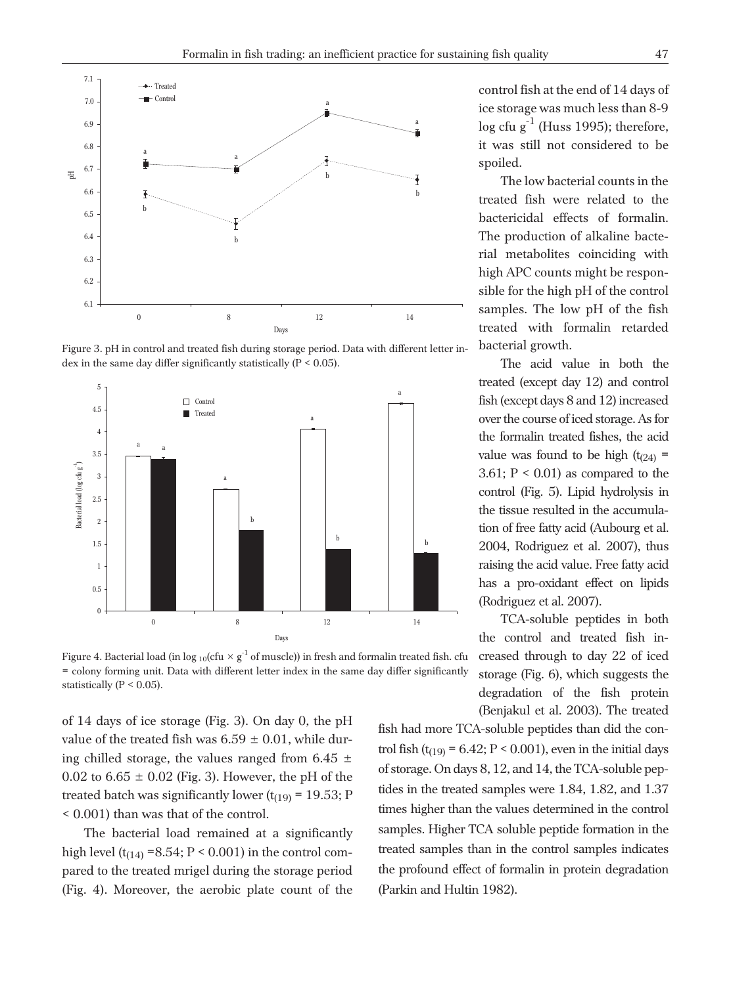

Figure 3. pH in control and treated fish during storage period. Data with different letter index in the same day differ significantly statistically (P < 0.05).



Figure 4. Bacterial load (in log 10(cfu  $\times g^{-1}$  of muscle)) in fresh and formalin treated fish. cfu = colony forming unit. Data with different letter index in the same day differ significantly statistically ( $P < 0.05$ ).

of 14 days of ice storage (Fig. 3). On day 0, the pH value of the treated fish was  $6.59 \pm 0.01$ , while during chilled storage, the values ranged from 6.45  $\pm$ 0.02 to  $6.65 \pm 0.02$  (Fig. 3). However, the pH of the treated batch was significantly lower  $(t_{(19)} = 19.53; P)$ < 0.001) than was that of the control.

The bacterial load remained at a significantly high level  $(t_{(14)} = 8.54; P < 0.001)$  in the control compared to the treated mrigel during the storage period (Fig. 4). Moreover, the aerobic plate count of the

control fish at the end of 14 days of ice storage was much less than 8-9  $\log$  cfu g<sup>-1</sup> (Huss 1995); therefore, it was still not considered to be spoiled.

The low bacterial counts in the treated fish were related to the bactericidal effects of formalin. The production of alkaline bacterial metabolites coinciding with high APC counts might be responsible for the high pH of the control samples. The low pH of the fish treated with formalin retarded bacterial growth.

The acid value in both the treated (except day 12) and control fish (except days 8 and 12) increased over the course of iced storage. As for the formalin treated fishes, the acid value was found to be high  $(t_{(24)} =$ 3.61;  $P < 0.01$ ) as compared to the control (Fig. 5). Lipid hydrolysis in the tissue resulted in the accumulation of free fatty acid (Aubourg et al. 2004, Rodriguez et al. 2007), thus raising the acid value. Free fatty acid has a pro-oxidant effect on lipids (Rodriguez et al. 2007).

TCA-soluble peptides in both the control and treated fish increased through to day 22 of iced storage (Fig. 6), which suggests the degradation of the fish protein (Benjakul et al. 2003). The treated

fish had more TCA-soluble peptides than did the control fish (t<sub>(19)</sub> = 6.42; P < 0.001), even in the initial days of storage. On days 8, 12, and 14, the TCA-soluble peptides in the treated samples were 1.84, 1.82, and 1.37 times higher than the values determined in the control samples. Higher TCA soluble peptide formation in the treated samples than in the control samples indicates the profound effect of formalin in protein degradation (Parkin and Hultin 1982).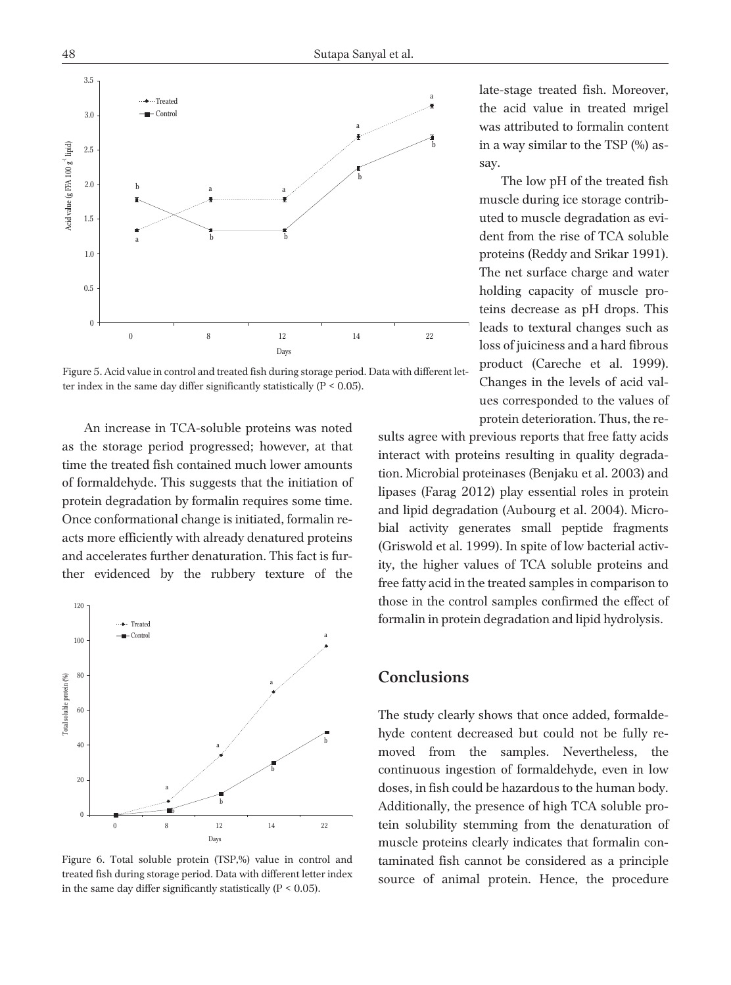

Figure 5. Acid value in control and treated fish during storage period. Data with different letter index in the same day differ significantly statistically  $(P < 0.05)$ .

An increase in TCA-soluble proteins was noted as the storage period progressed; however, at that time the treated fish contained much lower amounts of formaldehyde. This suggests that the initiation of protein degradation by formalin requires some time. Once conformational change is initiated, formalin reacts more efficiently with already denatured proteins and accelerates further denaturation. This fact is further evidenced by the rubbery texture of the



Figure 6. Total soluble protein (TSP,%) value in control and treated fish during storage period. Data with different letter index in the same day differ significantly statistically  $(P < 0.05)$ .

late-stage treated fish. Moreover, the acid value in treated mrigel was attributed to formalin content in a way similar to the TSP (%) assay.

The low pH of the treated fish muscle during ice storage contributed to muscle degradation as evident from the rise of TCA soluble proteins (Reddy and Srikar 1991). The net surface charge and water holding capacity of muscle proteins decrease as pH drops. This leads to textural changes such as loss of juiciness and a hard fibrous product (Careche et al. 1999). Changes in the levels of acid values corresponded to the values of protein deterioration. Thus, the re-

sults agree with previous reports that free fatty acids interact with proteins resulting in quality degradation. Microbial proteinases (Benjaku et al. 2003) and lipases (Farag 2012) play essential roles in protein and lipid degradation (Aubourg et al. 2004). Microbial activity generates small peptide fragments (Griswold et al. 1999). In spite of low bacterial activity, the higher values of TCA soluble proteins and free fatty acid in the treated samples in comparison to those in the control samples confirmed the effect of formalin in protein degradation and lipid hydrolysis.

# **Conclusions**

The study clearly shows that once added, formaldehyde content decreased but could not be fully removed from the samples. Nevertheless, the continuous ingestion of formaldehyde, even in low doses, in fish could be hazardous to the human body. Additionally, the presence of high TCA soluble protein solubility stemming from the denaturation of muscle proteins clearly indicates that formalin contaminated fish cannot be considered as a principle source of animal protein. Hence, the procedure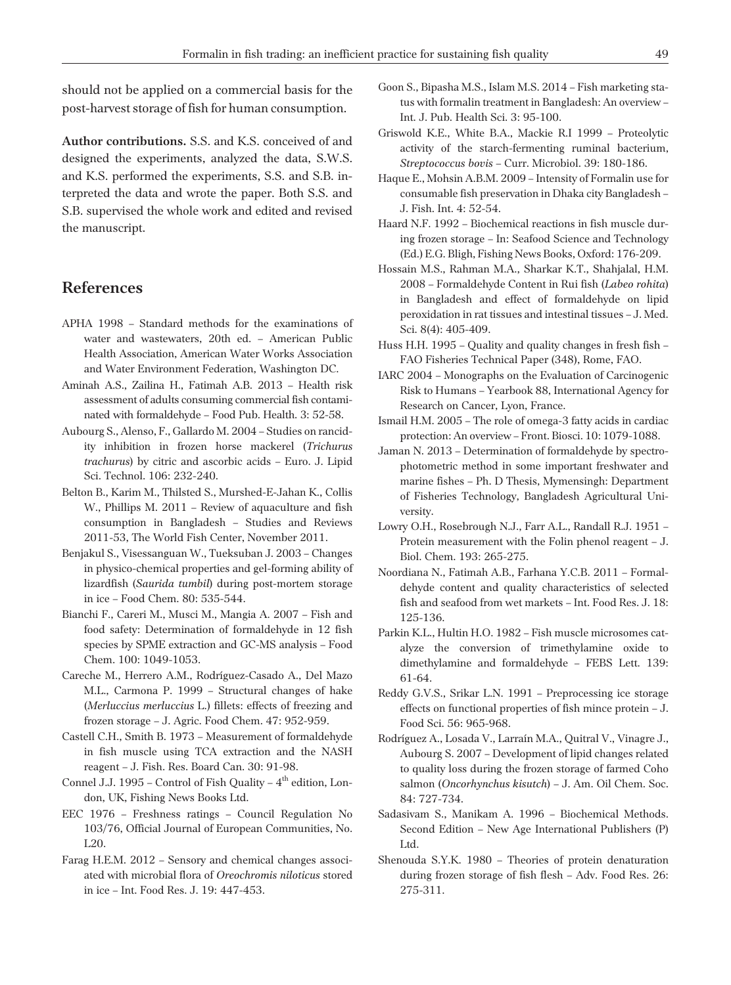should not be applied on a commercial basis for the post-harvest storage of fish for human consumption.

**Author contributions.** S.S. and K.S. conceived of and designed the experiments, analyzed the data, S.W.S. and K.S. performed the experiments, S.S. and S.B. interpreted the data and wrote the paper. Both S.S. and S.B. supervised the whole work and edited and revised the manuscript.

### **References**

- APHA 1998 Standard methods for the examinations of water and wastewaters, 20th ed. – American Public Health Association, American Water Works Association and Water Environment Federation, Washington DC.
- Aminah A.S., Zailina H., Fatimah A.B. 2013 Health risk assessment of adults consuming commercial fish contaminated with formaldehyde – Food Pub. Health. 3: 52-58.
- Aubourg S., Alenso, F., Gallardo M. 2004 Studies on rancidity inhibition in frozen horse mackerel (*Trichurus trachurus*) by citric and ascorbic acids – Euro. J. Lipid Sci. Technol. 106: 232-240.
- Belton B., Karim M., Thilsted S., Murshed-E-Jahan K., Collis W., Phillips M. 2011 – Review of aquaculture and fish consumption in Bangladesh – Studies and Reviews 2011-53, The World Fish Center, November 2011.
- Benjakul S., Visessanguan W., Tueksuban J. 2003 Changes in physico-chemical properties and gel-forming ability of lizardfish (*Saurida tumbil*) during post-mortem storage in ice – Food Chem. 80: 535-544.
- Bianchi F., Careri M., Musci M., Mangia A. 2007 Fish and food safety: Determination of formaldehyde in 12 fish species by SPME extraction and GC-MS analysis – Food Chem. 100: 1049-1053.
- Careche M., Herrero A.M., Rodríguez-Casado A., Del Mazo M.L., Carmona P. 1999 – Structural changes of hake (*Merluccius merluccius* L.) fillets: effects of freezing and frozen storage – J. Agric. Food Chem. 47: 952-959.
- Castell C.H., Smith B. 1973 Measurement of formaldehyde in fish muscle using TCA extraction and the NASH reagent – J. Fish. Res. Board Can. 30: 91-98.
- Connel J.J. 1995 Control of Fish Quality  $4<sup>th</sup>$  edition, London, UK, Fishing News Books Ltd.
- EEC 1976 Freshness ratings Council Regulation No 103/76, Official Journal of European Communities, No. L20.
- Farag H.E.M. 2012 Sensory and chemical changes associated with microbial flora of *Oreochromis niloticus* stored in ice – Int. Food Res. J. 19: 447-453.
- Goon S., Bipasha M.S., Islam M.S. 2014 Fish marketing status with formalin treatment in Bangladesh: An overview – Int. J. Pub. Health Sci. 3: 95-100.
- Griswold K.E., White B.A., Mackie R.I 1999 Proteolytic activity of the starch-fermenting ruminal bacterium, *Streptococcus bovis* – Curr. Microbiol. 39: 180-186.
- Haque E., Mohsin A.B.M. 2009 Intensity of Formalin use for consumable fish preservation in Dhaka city Bangladesh – J. Fish. Int. 4: 52-54.
- Haard N.F. 1992 Biochemical reactions in fish muscle during frozen storage – In: Seafood Science and Technology (Ed.) E.G. Bligh, Fishing News Books, Oxford: 176-209.
- Hossain M.S., Rahman M.A., Sharkar K.T., Shahjalal, H.M. 2008 – Formaldehyde Content in Rui fish (*Labeo rohita*) in Bangladesh and effect of formaldehyde on lipid peroxidation in rat tissues and intestinal tissues – J. Med. Sci. 8(4): 405-409.
- Huss H.H. 1995 Quality and quality changes in fresh fish FAO Fisheries Technical Paper (348), Rome, FAO.
- IARC 2004 Monographs on the Evaluation of Carcinogenic Risk to Humans – Yearbook 88, International Agency for Research on Cancer, Lyon, France.
- Ismail H.M. 2005 The role of omega-3 fatty acids in cardiac protection: An overview – Front. Biosci. 10: 1079-1088.
- Jaman N. 2013 Determination of formaldehyde by spectrophotometric method in some important freshwater and marine fishes – Ph. D Thesis, Mymensingh: Department of Fisheries Technology, Bangladesh Agricultural University.
- Lowry O.H., Rosebrough N.J., Farr A.L., Randall R.J. 1951 Protein measurement with the Folin phenol reagent – J. Biol. Chem. 193: 265-275.
- Noordiana N., Fatimah A.B., Farhana Y.C.B. 2011 Formaldehyde content and quality characteristics of selected fish and seafood from wet markets – Int. Food Res. J. 18: 125-136.
- Parkin K.L., Hultin H.O. 1982 Fish muscle microsomes catalyze the conversion of trimethylamine oxide to dimethylamine and formaldehyde – FEBS Lett. 139: 61-64.
- Reddy G.V.S., Srikar L.N. 1991 Preprocessing ice storage effects on functional properties of fish mince protein – J. Food Sci. 56: 965-968.
- Rodríguez A., Losada V., Larraín M.A., Quitral V., Vinagre J., Aubourg S. 2007 – Development of lipid changes related to quality loss during the frozen storage of farmed Coho salmon (*Oncorhynchus kisutch*) – J. Am. Oil Chem. Soc. 84: 727-734.
- Sadasivam S., Manikam A. 1996 Biochemical Methods. Second Edition – New Age International Publishers (P) Ltd.
- Shenouda S.Y.K. 1980 Theories of protein denaturation during frozen storage of fish flesh – Adv. Food Res. 26: 275-311.